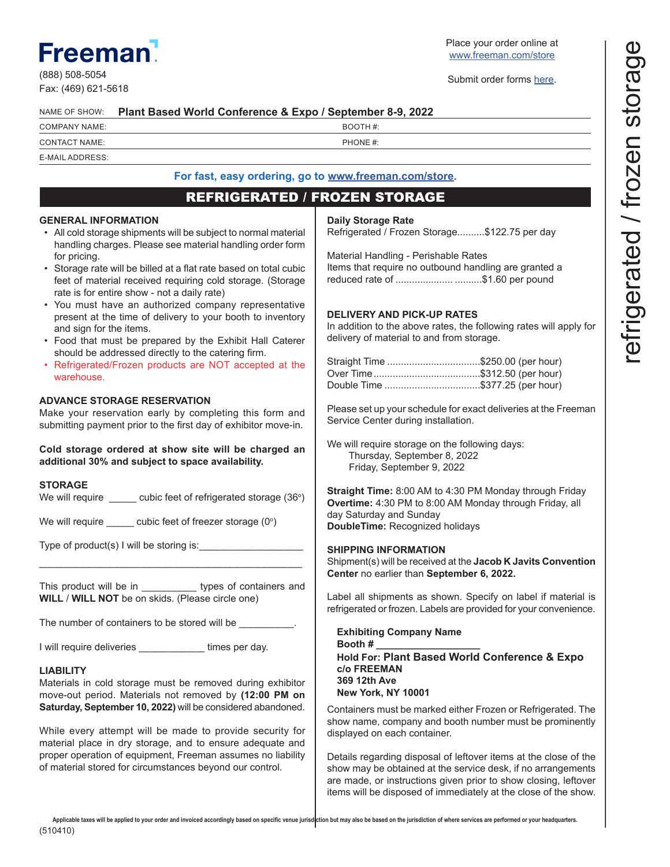# **Freemar**

(888) 508-5054 Fax: (469) 621-5618 Place your order online at www.freeman.com/store

Submit order forms here.

| NAME OF SHOW: Plant Based World Conference & Expo / September 8-9, 2022 |
|-------------------------------------------------------------------------|
|                                                                         |

BOOTH #:

#### CONTACT NAME:  $\blacksquare$ E-MAIL ADDRESS:

# **For fast, easy ordering, go to www.freeman.com/store.**

# REFRIGERATED / FROZEN STORAGE

## **GENERAL INFORMATION**

- All cold storage shipments will be subject to normal material handling charges. Please see material handling order form for pricing.
- Storage rate will be billed at a flat rate based on total cubic feet of material received requiring cold storage. (Storage rate is for entire show - not a daily rate)
- You must have an authorized company representative present at the time of delivery to your booth to inventory and sign for the items.
- Food that must be prepared by the Exhibit Hall Caterer should be addressed directly to the catering firm.
- Refrigerated/Frozen products are NOT accepted at the warehouse.

## **ADVANCE STORAGE RESERVATION**

Make your reservation early by completing this form and submitting payment prior to the first day of exhibitor move-in.

**Cold storage ordered at show site will be charged an additional 30% and subject to space availability.**

#### **STORAGE**

We will require  $\sqrt{2}$  cubic feet of refrigerated storage (36°)

We will require \_\_\_\_\_ cubic feet of freezer storage (0 $^{\circ}$ )

Type of product(s) I will be storing is:

This product will be in types of containers and **WILL** / **WILL NOT** be on skids. (Please circle one)

\_\_\_\_\_\_\_\_\_\_\_\_\_\_\_\_\_\_\_\_\_\_\_\_\_\_\_\_\_\_\_\_\_\_\_\_\_\_\_\_\_\_\_\_\_\_\_\_

The number of containers to be stored will be

I will require deliveries **Exercise Exercise Section** times per day.

## **LIABILITY**

Materials in cold storage must be removed during exhibitor move-out period. Materials not removed by **(12:00 PM on Saturday, September 10, 2022)** will be considered abandoned.

While every attempt will be made to provide security for material place in dry storage, and to ensure adequate and proper operation of equipment, Freeman assumes no liability of material stored for circumstances beyond our control.

#### **Daily Storage Rate**

Refrigerated / Frozen Storage..........\$122.75 per day

Material Handling - Perishable Rates Items that require no outbound handling are granted a reduced rate of ..................... ..........\$1.60 per pound

## **DELIVERY AND PICK-UP RATES**

In addition to the above rates, the following rates will apply for delivery of material to and from storage.

| Straight Time \$250.00 (per hour) |  |
|-----------------------------------|--|
|                                   |  |
| Double Time \$377.25 (per hour)   |  |

Please set up your schedule for exact deliveries at the Freeman Service Center during installation.

We will require storage on the following days: Thursday, September 8, 2022 Friday, September 9, 2022

**Straight Time:** 8:00 AM to 4:30 PM Monday through Friday **Overtime:** 4:30 PM to 8:00 AM Monday through Friday, all day Saturday and Sunday **DoubleTime:** Recognized holidays

#### **SHIPPING INFORMATION**

Shipment(s) will be received at the **Jacob K Javits Convention Center** no earlier than **September 6, 2022.** 

Label all shipments as shown. Specify on label if material is refrigerated or frozen. Labels are provided for your convenience.

**Exhibiting Company Name Booth # \_\_\_\_\_\_\_\_\_\_\_\_\_\_\_\_\_\_\_ Hold For: Plant Based World Conference & Expo c/o FREEMAN 369 12th Ave New York, NY 10001**

Containers must be marked either Frozen or Refrigerated. The show name, company and booth number must be prominently displayed on each container.

Details regarding disposal of leftover items at the close of the show may be obtained at the service desk, if no arrangements are made, or instructions given prior to show closing, leftover items will be disposed of immediately at the close of the show.

(510410) **Applicable taxes will be applied to your order and invoiced accordingly based on specific venue jurisdiction but may also be based on the jurisdiction of where services are performed or your headquarters.**